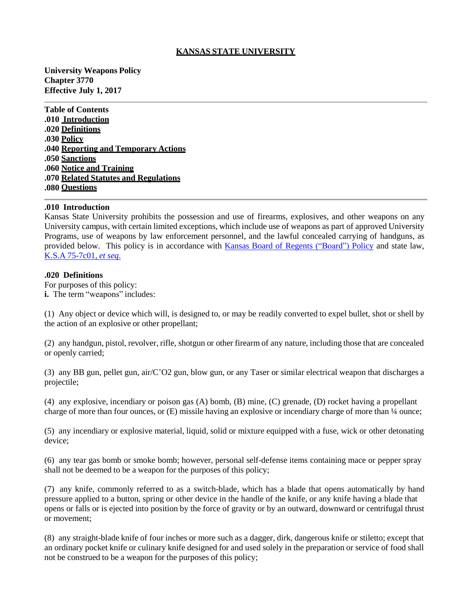## **KANSAS STATE UNIVERSITY**

**University Weapons Policy Chapter 3770 Effective July 1, 2017**

**Table of Contents .010 Introduction .020 Definitions .030 Policy .040 Reporting and Temporary Actions .050 Sanctions .060 Notice and Training .070 Related Statutes and Regulations .080 Questions**

#### **.010 Introduction**

Kansas State University prohibits the possession and use of firearms, explosives, and other weapons on any University campus, with certain limited exceptions, which include use of weapons as part of approved University Programs, use of weapons by law enforcement personnel, and the lawful concealed carrying of handguns, as provided below. This policy is in accordance with Kansas Board of Regents [\("Board"\)](http://www.kansasregents.org/about/policies-by-laws-missions/board_policy_manual_2/chapter_ii_governance_state_universities_2/chapter_ii_full_text#weapons) Policy and state law, K.S.A [75-7c01,](http://kslegislature.org/li_2016/b2015_16/statute/075_000_0000_chapter/075_007c_0000_article/) *et seq*.

### **.020 Definitions**

For purposes of this policy: **i.** The term "weapons" includes:

(1) Any object or device which will, is designed to, or may be readily converted to expel bullet, shot or shell by the action of an explosive or other propellant;

(2) any handgun, pistol, revolver, rifle, shotgun or other firearm of any nature, including those that are concealed or openly carried;

(3) any BB gun, pellet gun, air/C'O2 gun, blow gun, or any Taser or similar electrical weapon that discharges a projectile;

(4) any explosive, incendiary or poison gas (A) bomb, (B) mine, (C) grenade, (D) rocket having a propellant charge of more than four ounces, or (E) missile having an explosive or incendiary charge of more than ¼ ounce;

(5) any incendiary or explosive material, liquid, solid or mixture equipped with a fuse, wick or other detonating device;

(6) any tear gas bomb or smoke bomb; however, personal self-defense items containing mace or pepper spray shall not be deemed to be a weapon for the purposes of this policy;

(7) any knife, commonly referred to as a switch-blade, which has a blade that opens automatically by hand pressure applied to a button, spring or other device in the handle of the knife, or any knife having a blade that opens or falls or is ejected into position by the force of gravity or by an outward, downward or centrifugal thrust or movement;

(8) any straight-blade knife of four inches or more such as a dagger, dirk, dangerous knife or stiletto; except that an ordinary pocket knife or culinary knife designed for and used solely in the preparation or service of food shall not be construed to be a weapon for the purposes of this policy;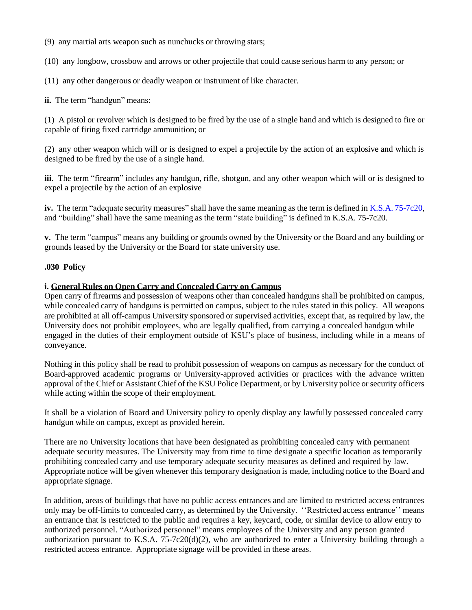(9) any martial arts weapon such as nunchucks or throwing stars;

(10) any longbow, crossbow and arrows or other projectile that could cause serious harm to any person; or

(11) any other dangerous or deadly weapon or instrument of like character.

**ii.** The term "handgun" means:

(1) A pistol or revolver which is designed to be fired by the use of a single hand and which is designed to fire or capable of firing fixed cartridge ammunition; or

(2) any other weapon which will or is designed to expel a projectile by the action of an explosive and which is designed to be fired by the use of a single hand.

**iii.** The term "firearm" includes any handgun, rifle, shotgun, and any other weapon which will or is designed to expel a projectile by the action of an explosive

**iv.** The term "adequate security measures" shall have the same meaning as the term is defined in K.S.A. [75-7c20,](http://kslegislature.org/li_2016/b2015_16/statute/075_000_0000_chapter/075_007c_0000_article/075_007c_0020_section/075_007c_0020_k/) and "building" shall have the same meaning as the term "state building" is defined in K.S.A. 75-7c20.

**v.** The term "campus" means any building or grounds owned by the University or the Board and any building or grounds leased by the University or the Board for state university use.

## **.030 Policy**

## **i. General Rules on Open Carry and Concealed Carry on Campus**

Open carry of firearms and possession of weapons other than concealed handguns shall be prohibited on campus, while concealed carry of handguns is permitted on campus, subject to the rules stated in this policy. All weapons are prohibited at all off-campus University sponsored or supervised activities, except that, as required by law, the University does not prohibit employees, who are legally qualified, from carrying a concealed handgun while engaged in the duties of their employment outside of KSU's place of business, including while in a means of conveyance.

Nothing in this policy shall be read to prohibit possession of weapons on campus as necessary for the conduct of Board-approved academic programs or University-approved activities or practices with the advance written approval of the Chief or Assistant Chief of the KSU Police Department, or by University police orsecurity officers while acting within the scope of their employment.

It shall be a violation of Board and University policy to openly display any lawfully possessed concealed carry handgun while on campus, except as provided herein.

There are no University locations that have been designated as prohibiting concealed carry with permanent adequate security measures. The University may from time to time designate a specific location as temporarily prohibiting concealed carry and use temporary adequate security measures as defined and required by law. Appropriate notice will be given whenever this temporary designation is made, including notice to the Board and appropriate signage.

In addition, areas of buildings that have no public access entrances and are limited to restricted access entrances only may be off-limits to concealed carry, as determined by the University. ''Restricted access entrance'' means an entrance that is restricted to the public and requires a key, keycard, code, or similar device to allow entry to authorized personnel. "Authorized personnel" means employees of the University and any person granted authorization pursuant to K.S.A. 75-7c20(d)(2), who are authorized to enter a University building through a restricted access entrance. Appropriate signage will be provided in these areas.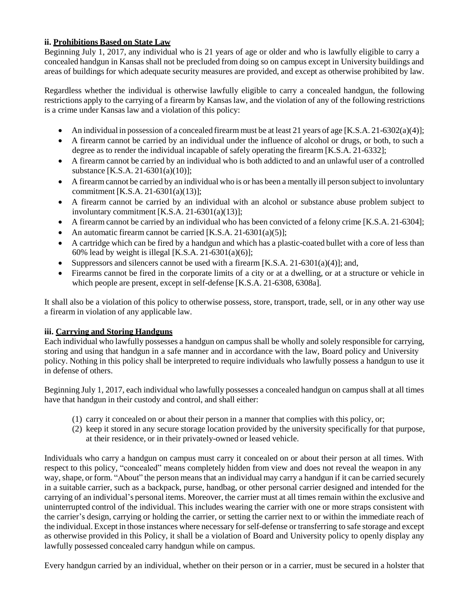## **ii. Prohibitions Based on State Law**

Beginning July 1, 2017, any individual who is 21 years of age or older and who is lawfully eligible to carry a concealed handgun in Kansas shall not be precluded from doing so on campus except in University buildings and areas of buildings for which adequate security measures are provided, and except as otherwise prohibited by law.

Regardless whether the individual is otherwise lawfully eligible to carry a concealed handgun, the following restrictions apply to the carrying of a firearm by Kansas law, and the violation of any of the following restrictions is a crime under Kansas law and a violation of this policy:

- An individual in possession of a concealed firearm must be at least 21 years of age [K.S.A. 21-6302(a)(4)];
- A firearm cannot be carried by an individual under the influence of alcohol or drugs, or both, to such a degree as to render the individual incapable of safely operating the firearm [K.S.A. 21-6332];
- A firearm cannot be carried by an individual who is both addicted to and an unlawful user of a controlled substance [K.S.A. 21-6301(a)(10)];
- A firearmcannot be carried by an individual who is or has been a mentally ill person subject to involuntary commitment [K.S.A. 21-6301(a)(13)];
- A firearm cannot be carried by an individual with an alcohol or substance abuse problem subject to involuntary commitment [K.S.A. 21-6301(a)(13)];
- A firearm cannot be carried by an individual who has been convicted of a felony crime [K.S.A. 21-6304];
- An automatic firearm cannot be carried  $[K.S.A. 21-6301(a)(5)];$
- A cartridge which can be fired by a handgun and which has a plastic-coated bullet with a core of less than 60% lead by weight is illegal [K.S.A. 21-6301(a)(6)];
- Suppressors and silencers cannot be used with a firearm  $[K.S.A. 21-6301(a)(4)];$  and,
- Firearms cannot be fired in the corporate limits of a city or at a dwelling, or at a structure or vehicle in which people are present, except in self-defense [K.S.A. 21-6308, 6308a].

It shall also be a violation of this policy to otherwise possess, store, transport, trade, sell, or in any other way use a firearm in violation of any applicable law.

## **iii. Carrying and Storing Handguns**

Each individual who lawfully possesses a handgun on campus shall be wholly and solely responsible for carrying, storing and using that handgun in a safe manner and in accordance with the law, Board policy and University policy. Nothing in this policy shall be interpreted to require individuals who lawfully possess a handgun to use it in defense of others.

Beginning July 1, 2017, each individual who lawfully possesses a concealed handgun on campus shall at all times have that handgun in their custody and control, and shall either:

- (1) carry it concealed on or about their person in a manner that complies with this policy, or;
- (2) keep it stored in any secure storage location provided by the university specifically for that purpose, at their residence, or in their privately-owned or leased vehicle.

Individuals who carry a handgun on campus must carry it concealed on or about their person at all times. With respect to this policy, "concealed" means completely hidden from view and does not reveal the weapon in any way, shape, or form. "About" the person meansthat an individual may carry a handgun if it can be carried securely in a suitable carrier, such as a backpack, purse, handbag, or other personal carrier designed and intended for the carrying of an individual's personal items. Moreover, the carrier must at all times remain within the exclusive and uninterrupted control of the individual. This includes wearing the carrier with one or more straps consistent with the carrier's design, carrying or holding the carrier, or setting the carrier next to or within the immediate reach of the individual. Except in those instances where necessary forself-defense or transferring to safe storage and except as otherwise provided in this Policy, it shall be a violation of Board and University policy to openly display any lawfully possessed concealed carry handgun while on campus.

Every handgun carried by an individual, whether on their person or in a carrier, must be secured in a holster that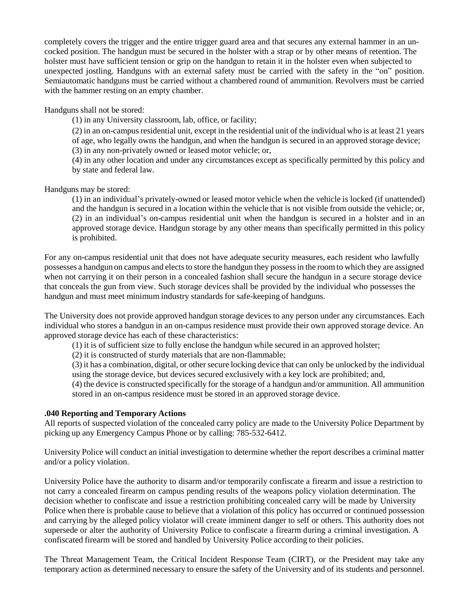completely covers the trigger and the entire trigger guard area and that secures any external hammer in an uncocked position. The handgun must be secured in the holster with a strap or by other means of retention. The holster must have sufficient tension or grip on the handgun to retain it in the holster even when subjected to unexpected jostling. Handguns with an external safety must be carried with the safety in the "on" position. Semiautomatic handguns must be carried without a chambered round of ammunition. Revolvers must be carried with the hammer resting on an empty chamber.

Handguns shall not be stored:

(1) in any University classroom, lab, office, or facility;

(2) in an on-campusresidential unit, except in the residential unit of the individual who is at least 21 years of age, who legally owns the handgun, and when the handgun is secured in an approved storage device; (3) in any non-privately owned or leased motor vehicle; or,

(4) in any other location and under any circumstances except as specifically permitted by this policy and by state and federal law.

Handguns may be stored:

(1) in an individual's privately-owned or leased motor vehicle when the vehicle is locked (if unattended) and the handgun is secured in a location within the vehicle that is not visible from outside the vehicle; or, (2) in an individual's on-campus residential unit when the handgun is secured in a holster and in an approved storage device. Handgun storage by any other means than specifically permitted in this policy is prohibited.

For any on-campus residential unit that does not have adequate security measures, each resident who lawfully possesses a handgun on campus and elects to store the handgun they possess in the room to which they are assigned when not carrying it on their person in a concealed fashion shall secure the handgun in a secure storage device that conceals the gun from view. Such storage devices shall be provided by the individual who possesses the handgun and must meet minimum industry standards for safe-keeping of handguns.

The University does not provide approved handgun storage devices to any person under any circumstances. Each individual who stores a handgun in an on-campus residence must provide their own approved storage device. An approved storage device has each of these characteristics:

(1) it is of sufficient size to fully enclose the handgun while secured in an approved holster;

(2) it is constructed of sturdy materials that are non-flammable;

(3) it has a combination, digital, or other secure locking device that can only be unlocked by the individual using the storage device, but devices secured exclusively with a key lock are prohibited; and,

(4) the device is constructed specifically for the storage of a handgun and/or ammunition. All ammunition stored in an on-campus residence must be stored in an approved storage device.

# **.040 Reporting and Temporary Actions**

All reports of suspected violation of the concealed carry policy are made to the University Police Department by picking up any Emergency Campus Phone or by calling: 785-532-6412.

University Police will conduct an initial investigation to determine whether the report describes a criminal matter and/or a policy violation.

University Police have the authority to disarm and/or temporarily confiscate a firearm and issue a restriction to not carry a concealed firearm on campus pending results of the weapons policy violation determination. The decision whether to confiscate and issue a restriction prohibiting concealed carry will be made by University Police when there is probable cause to believe that a violation of this policy has occurred or continued possession and carrying by the alleged policy violator will create imminent danger to self or others. This authority does not supersede or alter the authority of University Police to confiscate a firearm during a criminal investigation. A confiscated firearm will be stored and handled by University Police according to their policies.

The Threat Management Team, the Critical Incident Response Team (CIRT), or the President may take any temporary action as determined necessary to ensure the safety of the University and of its students and personnel.